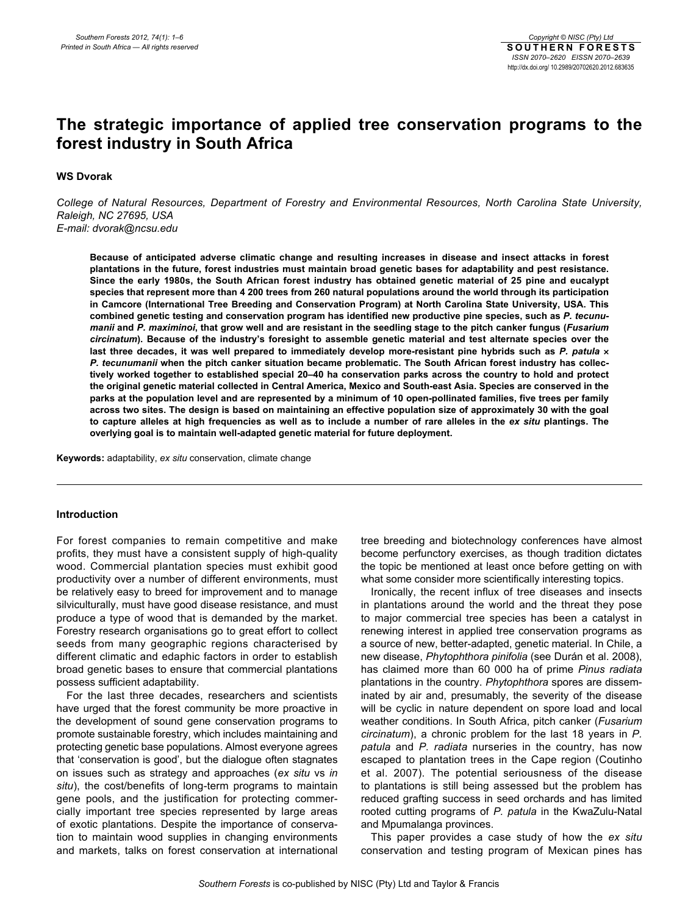# **The strategic importance of applied tree conservation programs to the forest industry in South Africa**

## **WS Dvorak**

*College of Natural Resources, Department of Forestry and Environmental Resources, North Carolina State University, Raleigh, NC 27695, USA*

*E-mail: dvorak@ncsu.edu*

**Because of anticipated adverse climatic change and resulting increases in disease and insect attacks in forest plantations in the future, forest industries must maintain broad genetic bases for adaptability and pest resistance. Since the early 1980s, the South African forest industry has obtained genetic material of 25 pine and eucalypt species that represent more than 4 200 trees from 260 natural populations around the world through its participation in Camcore (International Tree Breeding and Conservation Program) at North Carolina State University, USA. This combined genetic testing and conservation program has identified new productive pine species, such as** *P. tecunumanii* **and** *P. maximinoi***, that grow well and are resistant in the seedling stage to the pitch canker fungus (***Fusarium circinatum***). Because of the industry's foresight to assemble genetic material and test alternate species over the**  last three decades, it was well prepared to immediately develop more-resistant pine hybrids such as *P. patula* × *P. tecunumanii* **when the pitch canker situation became problematic. The South African forest industry has collectively worked together to established special 20–40 ha conservation parks across the country to hold and protect the original genetic material collected in Central America, Mexico and South-east Asia. Species are conserved in the parks at the population level and are represented by a minimum of 10 open-pollinated families, five trees per family across two sites. The design is based on maintaining an effective population size of approximately 30 with the goal to capture alleles at high frequencies as well as to include a number of rare alleles in the** *ex situ* **plantings. The overlying goal is to maintain well-adapted genetic material for future deployment.** 

**Keywords:** adaptability, *ex situ* conservation, climate change

## **Introduction**

For forest companies to remain competitive and make profits, they must have a consistent supply of high-quality wood. Commercial plantation species must exhibit good productivity over a number of different environments, must be relatively easy to breed for improvement and to manage silviculturally, must have good disease resistance, and must produce a type of wood that is demanded by the market. Forestry research organisations go to great effort to collect seeds from many geographic regions characterised by different climatic and edaphic factors in order to establish broad genetic bases to ensure that commercial plantations possess sufficient adaptability.

For the last three decades, researchers and scientists have urged that the forest community be more proactive in the development of sound gene conservation programs to promote sustainable forestry, which includes maintaining and protecting genetic base populations. Almost everyone agrees that 'conservation is good', but the dialogue often stagnates on issues such as strategy and approaches (*ex situ* vs *in situ*), the cost/benefits of long-term programs to maintain gene pools, and the justification for protecting commercially important tree species represented by large areas of exotic plantations. Despite the importance of conservation to maintain wood supplies in changing environments and markets, talks on forest conservation at international tree breeding and biotechnology conferences have almost become perfunctory exercises, as though tradition dictates the topic be mentioned at least once before getting on with what some consider more scientifically interesting topics.

Ironically, the recent influx of tree diseases and insects in plantations around the world and the threat they pose to major commercial tree species has been a catalyst in renewing interest in applied tree conservation programs as a source of new, better-adapted, genetic material. In Chile, a new disease, *Phytophthora pinifolia* (see Durán et al. 2008), has claimed more than 60 000 ha of prime *Pinus radiata* plantations in the country. *Phytophthora* spores are disseminated by air and, presumably, the severity of the disease will be cyclic in nature dependent on spore load and local weather conditions. In South Africa, pitch canker (*Fusarium circinatum*), a chronic problem for the last 18 years in *P. patula* and *P. radiata* nurseries in the country, has now escaped to plantation trees in the Cape region (Coutinho et al. 2007). The potential seriousness of the disease to plantations is still being assessed but the problem has reduced grafting success in seed orchards and has limited rooted cutting programs of *P. patula* in the KwaZulu-Natal and Mpumalanga provinces.

This paper provides a case study of how the *ex situ* conservation and testing program of Mexican pines has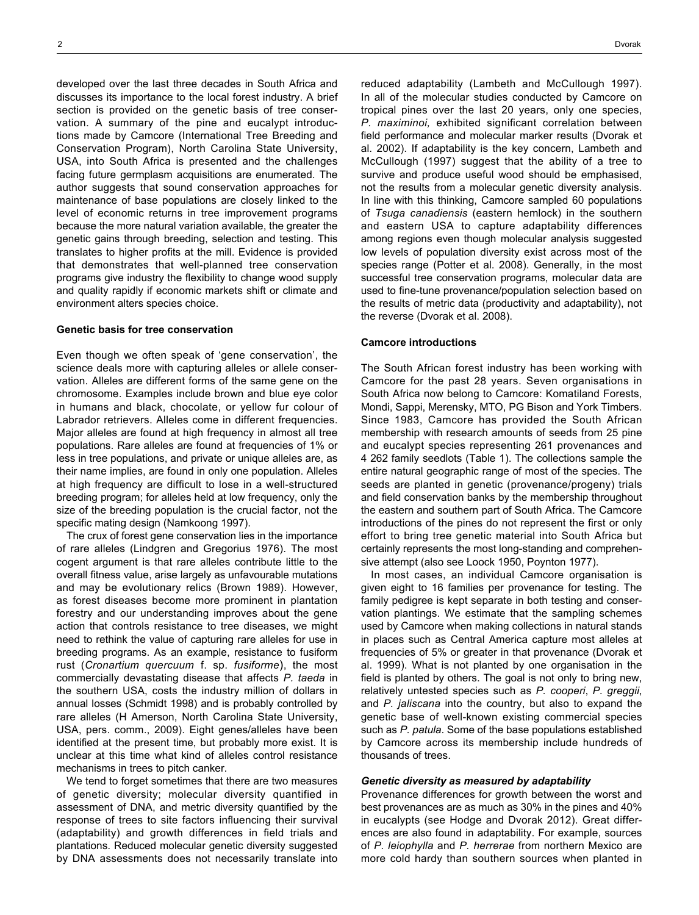developed over the last three decades in South Africa and discusses its importance to the local forest industry. A brief section is provided on the genetic basis of tree conservation. A summary of the pine and eucalypt introductions made by Camcore (International Tree Breeding and Conservation Program), North Carolina State University, USA, into South Africa is presented and the challenges facing future germplasm acquisitions are enumerated. The author suggests that sound conservation approaches for maintenance of base populations are closely linked to the level of economic returns in tree improvement programs because the more natural variation available, the greater the genetic gains through breeding, selection and testing. This translates to higher profits at the mill. Evidence is provided that demonstrates that well-planned tree conservation programs give industry the flexibility to change wood supply and quality rapidly if economic markets shift or climate and environment alters species choice.

#### **Genetic basis for tree conservation**

Even though we often speak of 'gene conservation', the science deals more with capturing alleles or allele conservation. Alleles are different forms of the same gene on the chromosome. Examples include brown and blue eye color in humans and black, chocolate, or yellow fur colour of Labrador retrievers. Alleles come in different frequencies. Major alleles are found at high frequency in almost all tree populations. Rare alleles are found at frequencies of 1% or less in tree populations, and private or unique alleles are, as their name implies, are found in only one population. Alleles at high frequency are difficult to lose in a well-structured breeding program; for alleles held at low frequency, only the size of the breeding population is the crucial factor, not the specific mating design (Namkoong 1997).

The crux of forest gene conservation lies in the importance of rare alleles (Lindgren and Gregorius 1976). The most cogent argument is that rare alleles contribute little to the overall fitness value, arise largely as unfavourable mutations and may be evolutionary relics (Brown 1989). However, as forest diseases become more prominent in plantation forestry and our understanding improves about the gene action that controls resistance to tree diseases, we might need to rethink the value of capturing rare alleles for use in breeding programs. As an example, resistance to fusiform rust (*Cronartium quercuum* f. sp. *fusiforme*), the most commercially devastating disease that affects *P. taeda* in the southern USA, costs the industry million of dollars in annual losses (Schmidt 1998) and is probably controlled by rare alleles (H Amerson, North Carolina State University, USA, pers. comm., 2009). Eight genes/alleles have been identified at the present time, but probably more exist. It is unclear at this time what kind of alleles control resistance mechanisms in trees to pitch canker.

We tend to forget sometimes that there are two measures of genetic diversity; molecular diversity quantified in assessment of DNA, and metric diversity quantified by the response of trees to site factors influencing their survival (adaptability) and growth differences in field trials and plantations. Reduced molecular genetic diversity suggested by DNA assessments does not necessarily translate into reduced adaptability (Lambeth and McCullough 1997). In all of the molecular studies conducted by Camcore on tropical pines over the last 20 years, only one species, *P. maximinoi,* exhibited significant correlation between field performance and molecular marker results (Dvorak et al. 2002). If adaptability is the key concern, Lambeth and McCullough (1997) suggest that the ability of a tree to survive and produce useful wood should be emphasised, not the results from a molecular genetic diversity analysis. In line with this thinking, Camcore sampled 60 populations of *Tsuga canadiensis* (eastern hemlock) in the southern and eastern USA to capture adaptability differences among regions even though molecular analysis suggested low levels of population diversity exist across most of the species range (Potter et al. 2008). Generally, in the most successful tree conservation programs, molecular data are used to fine-tune provenance/population selection based on the results of metric data (productivity and adaptability), not the reverse (Dvorak et al. 2008).

## **Camcore introductions**

The South African forest industry has been working with Camcore for the past 28 years. Seven organisations in South Africa now belong to Camcore: Komatiland Forests, Mondi, Sappi, Merensky, MTO, PG Bison and York Timbers. Since 1983, Camcore has provided the South African membership with research amounts of seeds from 25 pine and eucalypt species representing 261 provenances and 4 262 family seedlots (Table 1). The collections sample the entire natural geographic range of most of the species. The seeds are planted in genetic (provenance/progeny) trials and field conservation banks by the membership throughout the eastern and southern part of South Africa. The Camcore introductions of the pines do not represent the first or only effort to bring tree genetic material into South Africa but certainly represents the most long-standing and comprehensive attempt (also see Loock 1950, Poynton 1977).

In most cases, an individual Camcore organisation is given eight to 16 families per provenance for testing. The family pedigree is kept separate in both testing and conservation plantings. We estimate that the sampling schemes used by Camcore when making collections in natural stands in places such as Central America capture most alleles at frequencies of 5% or greater in that provenance (Dvorak et al. 1999). What is not planted by one organisation in the field is planted by others. The goal is not only to bring new, relatively untested species such as *P. cooperi*, *P. greggii*, and *P. jaliscana* into the country, but also to expand the genetic base of well-known existing commercial species such as *P. patula*. Some of the base populations established by Camcore across its membership include hundreds of thousands of trees.

#### *Genetic diversity as measured by adaptability*

Provenance differences for growth between the worst and best provenances are as much as 30% in the pines and 40% in eucalypts (see Hodge and Dvorak 2012). Great differences are also found in adaptability. For example, sources of *P. leiophylla* and *P. herrerae* from northern Mexico are more cold hardy than southern sources when planted in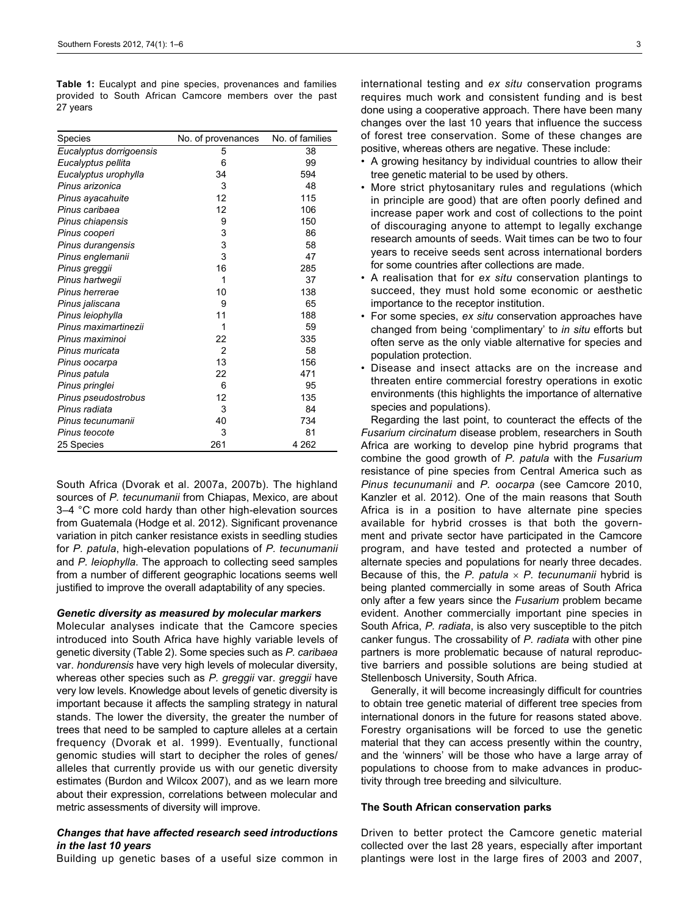|          |  |  | <b>Table 1:</b> Eucalypt and pine species, provenances and families |  |  |
|----------|--|--|---------------------------------------------------------------------|--|--|
|          |  |  | provided to South African Camcore members over the past             |  |  |
| 27 years |  |  |                                                                     |  |  |

| Species                 | No. of provenances | No. of families |
|-------------------------|--------------------|-----------------|
| Eucalyptus dorrigoensis | 5                  | 38              |
| Eucalyptus pellita      | 6                  | 99              |
| Eucalyptus urophylla    | 34                 | 594             |
| Pinus arizonica         | 3                  | 48              |
| Pinus ayacahuite        | 12                 | 115             |
| Pinus caribaea          | 12                 | 106             |
| Pinus chiapensis        | 9                  | 150             |
| Pinus cooperi           | 3                  | 86              |
| Pinus durangensis       | 3                  | 58              |
| Pinus englemanii        | 3                  | 47              |
| Pinus greggii           | 16                 | 285             |
| Pinus hartweqii         | 1                  | 37              |
| Pinus herrerae          | 10                 | 138             |
| Pinus jaliscana         | 9                  | 65              |
| Pinus leiophylla        | 11                 | 188             |
| Pinus maximartinezii    | 1                  | 59              |
| Pinus maximinoi         | 22                 | 335             |
| Pinus muricata          | $\overline{2}$     | 58              |
| Pinus oocarpa           | 13                 | 156             |
| Pinus patula            | 22                 | 471             |
| Pinus pringlei          | 6                  | 95              |
| Pinus pseudostrobus     | 12                 | 135             |
| Pinus radiata           | 3                  | 84              |
| Pinus tecunumanii       | 40                 | 734             |
| Pinus teocote           | 3                  | 81              |
| 25 Species              | 261                | 4 2 6 2         |

South Africa (Dvorak et al. 2007a, 2007b). The highland sources of *P. tecunumanii* from Chiapas, Mexico, are about 3–4 °C more cold hardy than other high-elevation sources from Guatemala (Hodge et al. 2012). Significant provenance variation in pitch canker resistance exists in seedling studies for *P. patula*, high-elevation populations of *P. tecunumanii* and *P. leiophylla*. The approach to collecting seed samples from a number of different geographic locations seems well justified to improve the overall adaptability of any species.

## *Genetic diversity as measured by molecular markers*

Molecular analyses indicate that the Camcore species introduced into South Africa have highly variable levels of genetic diversity (Table 2). Some species such as *P. caribaea* var. *hondurensis* have very high levels of molecular diversity, whereas other species such as *P. greggii* var. *greggii* have very low levels. Knowledge about levels of genetic diversity is important because it affects the sampling strategy in natural stands. The lower the diversity, the greater the number of trees that need to be sampled to capture alleles at a certain frequency (Dvorak et al. 1999). Eventually, functional genomic studies will start to decipher the roles of genes/ alleles that currently provide us with our genetic diversity estimates (Burdon and Wilcox 2007), and as we learn more about their expression, correlations between molecular and metric assessments of diversity will improve.

## *Changes that have affected research seed introductions in the last 10 years*

Building up genetic bases of a useful size common in

international testing and *ex situ* conservation programs

requires much work and consistent funding and is best done using a cooperative approach. There have been many changes over the last 10 years that influence the success of forest tree conservation. Some of these changes are positive, whereas others are negative. These include:

- A growing hesitancy by individual countries to allow their tree genetic material to be used by others.
- More strict phytosanitary rules and regulations (which in principle are good) that are often poorly defined and increase paper work and cost of collections to the point of discouraging anyone to attempt to legally exchange research amounts of seeds. Wait times can be two to four years to receive seeds sent across international borders for some countries after collections are made.
- A realisation that for *ex situ* conservation plantings to succeed, they must hold some economic or aesthetic importance to the receptor institution.
- For some species, *ex situ* conservation approaches have changed from being 'complimentary' to *in situ* efforts but often serve as the only viable alternative for species and population protection.
- Disease and insect attacks are on the increase and threaten entire commercial forestry operations in exotic environments (this highlights the importance of alternative species and populations).

Regarding the last point, to counteract the effects of the *Fusarium circinatum* disease problem, researchers in South Africa are working to develop pine hybrid programs that combine the good growth of *P. patula* with the *Fusarium* resistance of pine species from Central America such as *Pinus tecunumanii* and *P. oocarpa* (see Camcore 2010, Kanzler et al. 2012). One of the main reasons that South Africa is in a position to have alternate pine species available for hybrid crosses is that both the government and private sector have participated in the Camcore program, and have tested and protected a number of alternate species and populations for nearly three decades. Because of this, the  $P$ . patula  $\times$   $P$ . tecunumanii hybrid is being planted commercially in some areas of South Africa only after a few years since the *Fusarium* problem became evident. Another commercially important pine species in South Africa, *P. radiata*, is also very susceptible to the pitch canker fungus. The crossability of *P. radiata* with other pine partners is more problematic because of natural reproductive barriers and possible solutions are being studied at Stellenbosch University, South Africa.

Generally, it will become increasingly difficult for countries to obtain tree genetic material of different tree species from international donors in the future for reasons stated above. Forestry organisations will be forced to use the genetic material that they can access presently within the country, and the 'winners' will be those who have a large array of populations to choose from to make advances in productivity through tree breeding and silviculture.

### **The South African conservation parks**

Driven to better protect the Camcore genetic material collected over the last 28 years, especially after important plantings were lost in the large fires of 2003 and 2007,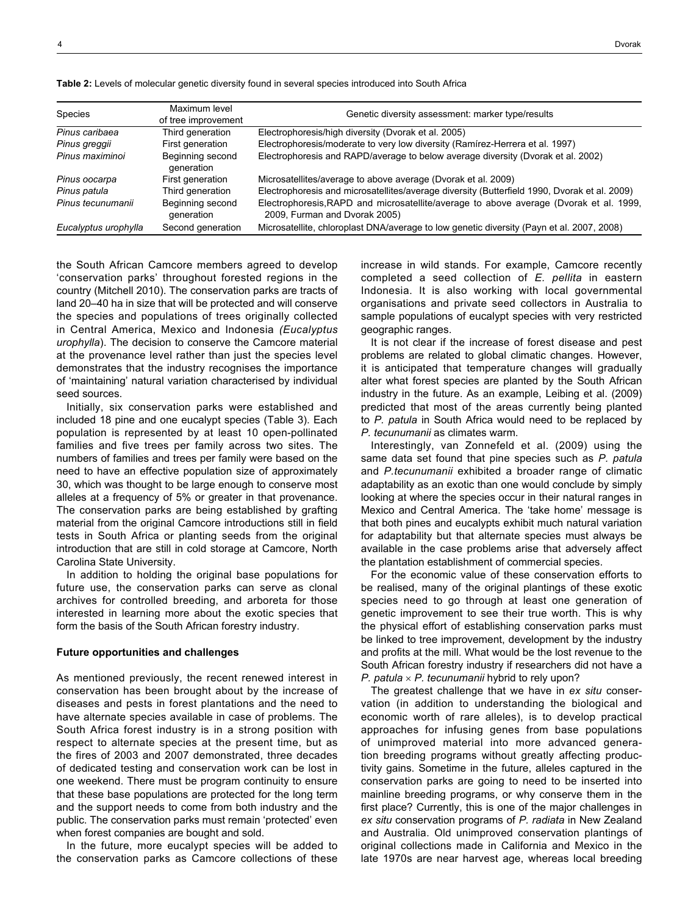|                      | Maximum level                  |                                                                                                                         |  |  |  |  |
|----------------------|--------------------------------|-------------------------------------------------------------------------------------------------------------------------|--|--|--|--|
| Species              | of tree improvement            | Genetic diversity assessment: marker type/results                                                                       |  |  |  |  |
| Pinus caribaea       | Third generation               | Electrophoresis/high diversity (Dvorak et al. 2005)                                                                     |  |  |  |  |
| Pinus greggii        | First generation               | Electrophoresis/moderate to very low diversity (Ramírez-Herrera et al. 1997)                                            |  |  |  |  |
| Pinus maximinoi      | Beginning second<br>qeneration | Electrophoresis and RAPD/average to below average diversity (Dvorak et al. 2002)                                        |  |  |  |  |
| Pinus oocarpa        | First generation               | Microsatellites/average to above average (Dvorak et al. 2009)                                                           |  |  |  |  |
| Pinus patula         | Third generation               | Electrophoresis and microsatellites/average diversity (Butterfield 1990, Dvorak et al. 2009)                            |  |  |  |  |
| Pinus tecunumanii    | Beginning second<br>generation | Electrophoresis, RAPD and microsatellite/average to above average (Dvorak et al. 1999,<br>2009, Furman and Dvorak 2005) |  |  |  |  |
| Eucalyptus urophylla | Second generation              | Microsatellite, chloroplast DNA/average to low genetic diversity (Payn et al. 2007, 2008)                               |  |  |  |  |

**Table 2:** Levels of molecular genetic diversity found in several species introduced into South Africa

the South African Camcore members agreed to develop 'conservation parks' throughout forested regions in the country (Mitchell 2010). The conservation parks are tracts of land 20–40 ha in size that will be protected and will conserve the species and populations of trees originally collected in Central America, Mexico and Indonesia *(Eucalyptus urophylla*). The decision to conserve the Camcore material at the provenance level rather than just the species level demonstrates that the industry recognises the importance of 'maintaining' natural variation characterised by individual seed sources.

Initially, six conservation parks were established and included 18 pine and one eucalypt species (Table 3). Each population is represented by at least 10 open-pollinated families and five trees per family across two sites. The numbers of families and trees per family were based on the need to have an effective population size of approximately 30, which was thought to be large enough to conserve most alleles at a frequency of 5% or greater in that provenance. The conservation parks are being established by grafting material from the original Camcore introductions still in field tests in South Africa or planting seeds from the original introduction that are still in cold storage at Camcore, North Carolina State University.

In addition to holding the original base populations for future use, the conservation parks can serve as clonal archives for controlled breeding, and arboreta for those interested in learning more about the exotic species that form the basis of the South African forestry industry.

#### **Future opportunities and challenges**

As mentioned previously, the recent renewed interest in conservation has been brought about by the increase of diseases and pests in forest plantations and the need to have alternate species available in case of problems. The South Africa forest industry is in a strong position with respect to alternate species at the present time, but as the fires of 2003 and 2007 demonstrated, three decades of dedicated testing and conservation work can be lost in one weekend. There must be program continuity to ensure that these base populations are protected for the long term and the support needs to come from both industry and the public. The conservation parks must remain 'protected' even when forest companies are bought and sold.

In the future, more eucalypt species will be added to the conservation parks as Camcore collections of these increase in wild stands. For example, Camcore recently completed a seed collection of *E. pellita* in eastern Indonesia. It is also working with local governmental organisations and private seed collectors in Australia to sample populations of eucalypt species with very restricted geographic ranges.

It is not clear if the increase of forest disease and pest problems are related to global climatic changes. However, it is anticipated that temperature changes will gradually alter what forest species are planted by the South African industry in the future. As an example, Leibing et al. (2009) predicted that most of the areas currently being planted to *P. patula* in South Africa would need to be replaced by *P. tecunumanii* as climates warm.

Interestingly, van Zonnefeld et al. (2009) using the same data set found that pine species such as *P. patula* and *P.tecunumanii* exhibited a broader range of climatic adaptability as an exotic than one would conclude by simply looking at where the species occur in their natural ranges in Mexico and Central America. The 'take home' message is that both pines and eucalypts exhibit much natural variation for adaptability but that alternate species must always be available in the case problems arise that adversely affect the plantation establishment of commercial species.

For the economic value of these conservation efforts to be realised, many of the original plantings of these exotic species need to go through at least one generation of genetic improvement to see their true worth. This is why the physical effort of establishing conservation parks must be linked to tree improvement, development by the industry and profits at the mill. What would be the lost revenue to the South African forestry industry if researchers did not have a *P. patula* × *P. tecunumanii* hybrid to rely upon?

The greatest challenge that we have in *ex situ* conservation (in addition to understanding the biological and economic worth of rare alleles), is to develop practical approaches for infusing genes from base populations of unimproved material into more advanced generation breeding programs without greatly affecting productivity gains. Sometime in the future, alleles captured in the conservation parks are going to need to be inserted into mainline breeding programs, or why conserve them in the first place? Currently, this is one of the major challenges in *ex situ* conservation programs of *P. radiata* in New Zealand and Australia. Old unimproved conservation plantings of original collections made in California and Mexico in the late 1970s are near harvest age, whereas local breeding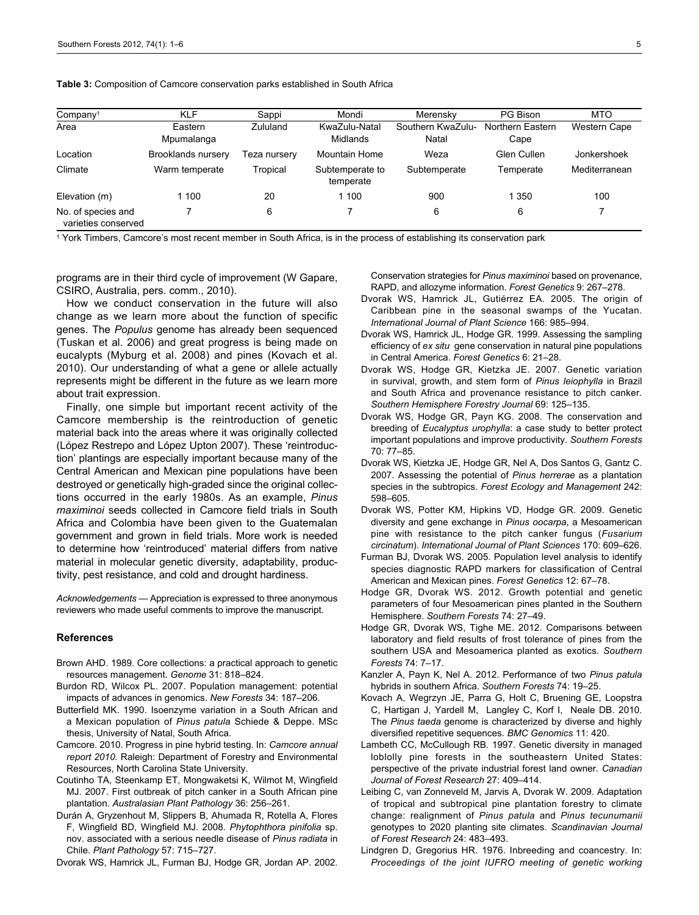**Table 3:** Composition of Camcore conservation parks established in South Africa

| Company <sup>1</sup>                      | <b>KLF</b>                | Sappi        | Mondi                            | Merensky                   | PG Bison                 | <b>MTO</b>    |
|-------------------------------------------|---------------------------|--------------|----------------------------------|----------------------------|--------------------------|---------------|
| Area                                      | Eastern<br>Mpumalanga     | Zululand     | KwaZulu-Natal<br><b>Midlands</b> | Southern KwaZulu-<br>Natal | Northern Eastern<br>Cape | Western Cape  |
| Location                                  | <b>Brooklands nursery</b> | Teza nurserv | <b>Mountain Home</b>             | Weza                       | Glen Cullen              | Jonkershoek   |
| Climate                                   | Warm temperate            | Tropical     | Subtemperate to<br>temperate     | Subtemperate               | Temperate                | Mediterranean |
| Elevation (m)                             | 1 100                     | 20           | l 100                            | 900                        | 1 350                    | 100           |
| No. of species and<br>varieties conserved |                           | 6            |                                  | 6                          | 6                        |               |

1 York Timbers, Camcore's most recent member in South Africa, is in the process of establishing its conservation park

programs are in their third cycle of improvement (W Gapare, CSIRO, Australia, pers. comm., 2010).

How we conduct conservation in the future will also change as we learn more about the function of specific genes. The *Populus* genome has already been sequenced (Tuskan et al. 2006) and great progress is being made on eucalypts (Myburg et al. 2008) and pines (Kovach et al. 2010). Our understanding of what a gene or allele actually represents might be different in the future as we learn more about trait expression.

Finally, one simple but important recent activity of the Camcore membership is the reintroduction of genetic material back into the areas where it was originally collected (López Restrepo and López Upton 2007). These 'reintroduction' plantings are especially important because many of the Central American and Mexican pine populations have been destroyed or genetically high-graded since the original collections occurred in the early 1980s. As an example, *Pinus maximinoi* seeds collected in Camcore field trials in South Africa and Colombia have been given to the Guatemalan government and grown in field trials. More work is needed to determine how 'reintroduced' material differs from native material in molecular genetic diversity, adaptability, productivity, pest resistance, and cold and drought hardiness.

*Acknowledgements —* Appreciation is expressed to three anonymous reviewers who made useful comments to improve the manuscript.

#### **References**

- Brown AHD. 1989. Core collections: a practical approach to genetic resources management. *Genome* 31: 818–824.
- Burdon RD, Wilcox PL. 2007. Population management: potential impacts of advances in genomics. *New Forests* 34: 187–206.
- Butterfield MK. 1990. Isoenzyme variation in a South African and a Mexican population of *Pinus patula* Schiede & Deppe. MSc thesis, University of Natal, South Africa.
- Camcore. 2010. Progress in pine hybrid testing. In: *Camcore annual report 2010.* Raleigh: Department of Forestry and Environmental Resources, North Carolina State University.
- Coutinho TA, Steenkamp ET, Mongwaketsi K, Wilmot M, Wingfield MJ. 2007. First outbreak of pitch canker in a South African pine plantation. *Australasian Plant Pathology* 36: 256–261.
- Durán A, Gryzenhout M, Slippers B, Ahumada R, Rotella A, Flores F, Wingfield BD, Wingfield MJ. 2008. *Phytophthora pinifolia* sp. nov. associated with a serious needle disease of *Pinus radiata* in Chile. *Plant Pathology* 57: 715–727.

Dvorak WS, Hamrick JL, Furman BJ, Hodge GR, Jordan AP. 2002.

Conservation strategies for *Pinus maximinoi* based on provenance, RAPD, and allozyme information. *Forest Genetics* 9: 267–278.

- Dvorak WS, Hamrick JL, Gutiérrez EA. 2005. The origin of Caribbean pine in the seasonal swamps of the Yucatan. *International Journal of Plant Science* 166: 985–994.
- Dvorak WS, Hamrick JL, Hodge GR. 1999. Assessing the sampling efficiency of *ex situ* gene conservation in natural pine populations in Central America. *Forest Genetics* 6: 21–28.
- Dvorak WS, Hodge GR, Kietzka JE. 2007. Genetic variation in survival, growth, and stem form of *Pinus leiophylla* in Brazil and South Africa and provenance resistance to pitch canker*. Southern Hemisphere Forestry Journal* 69: 125–135.
- Dvorak WS, Hodge GR, Payn KG. 2008. The conservation and breeding of *Eucalyptus urophylla*: a case study to better protect important populations and improve productivity. *Southern Forests* 70: 77–85.
- Dvorak WS, Kietzka JE, Hodge GR, Nel A, Dos Santos G, Gantz C. 2007. Assessing the potential of *Pinus herrerae* as a plantation species in the subtropics. *Forest Ecology and Management* 242: 598–605.
- Dvorak WS, Potter KM, Hipkins VD, Hodge GR. 2009. Genetic diversity and gene exchange in *Pinus oocarpa*, a Mesoamerican pine with resistance to the pitch canker fungus (*Fusarium circinatum*). *International Journal of Plant Sciences* 170: 609–626.
- Furman BJ, Dvorak WS. 2005. Population level analysis to identify species diagnostic RAPD markers for classification of Central American and Mexican pines. *Forest Genetics* 12: 67–78.
- Hodge GR, Dvorak WS. 2012. Growth potential and genetic parameters of four Mesoamerican pines planted in the Southern Hemisphere. *Southern Forests* 74: 27–49.
- Hodge GR, Dvorak WS, Tighe ME. 2012. Comparisons between laboratory and field results of frost tolerance of pines from the southern USA and Mesoamerica planted as exotics. *Southern Forests* 74: 7–17.
- Kanzler A, Payn K, Nel A. 2012. Performance of two *Pinus patula*  hybrids in southern Africa. *Southern Forests* 74: 19–25.
- Kovach A, Wegrzyn JE, Parra G, Holt C, Bruening GE, Loopstra C, Hartigan J, Yardell M, Langley C, Korf I, Neale DB. 2010. The *Pinus taeda* genome is characterized by diverse and highly diversified repetitive sequences. *BMC Genomics* 11: 420.
- Lambeth CC, McCullough RB. 1997. Genetic diversity in managed loblolly pine forests in the southeastern United States: perspective of the private industrial forest land owner. *Canadian Journal of Forest Research* 27: 409–414.
- Leibing C, van Zonneveld M, Jarvis A, Dvorak W. 2009. Adaptation of tropical and subtropical pine plantation forestry to climate change: realignment of *Pinus patula* and *Pinus tecunumanii* genotypes to 2020 planting site climates. *Scandinavian Journal of Forest Research* 24: 483–493.
- Lindgren D, Gregorius HR. 1976. Inbreeding and coancestry. In: *Proceedings of the joint IUFRO meeting of genetic working*